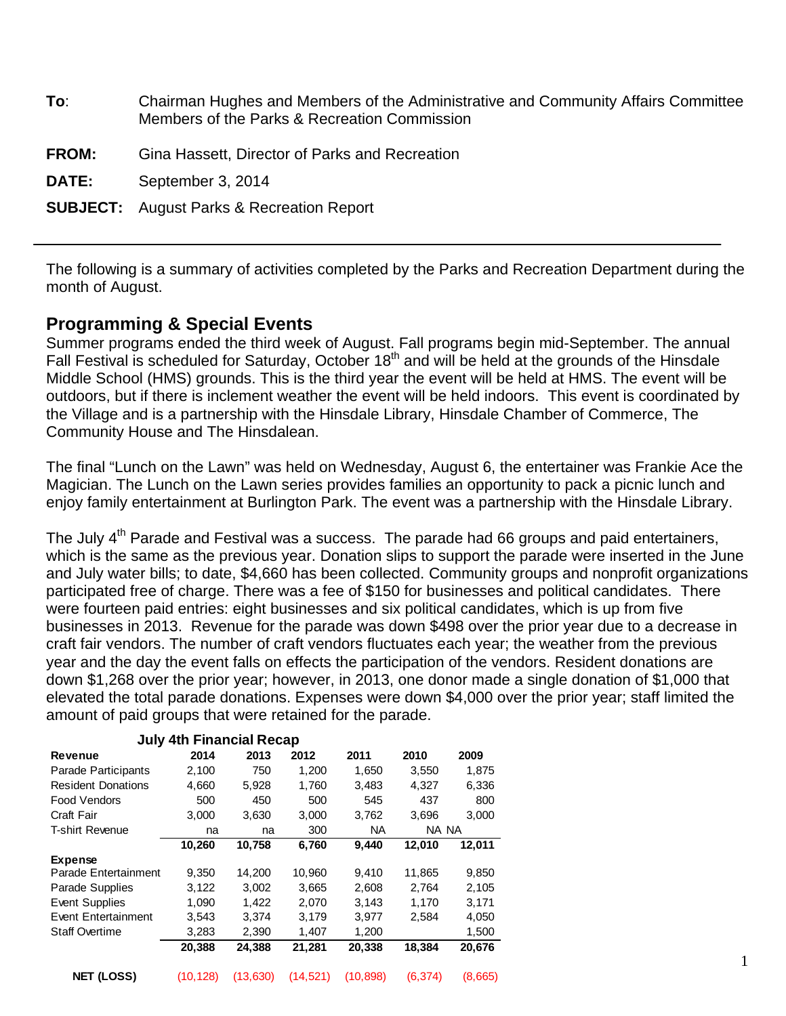| To:          | Chairman Hughes and Members of the Administrative and Community Affairs Committee<br>Members of the Parks & Recreation Commission |
|--------------|-----------------------------------------------------------------------------------------------------------------------------------|
| <b>FROM:</b> | Gina Hassett, Director of Parks and Recreation                                                                                    |
| <b>DATE:</b> | September 3, 2014                                                                                                                 |
|              | <b>SUBJECT:</b> August Parks & Recreation Report                                                                                  |

The following is a summary of activities completed by the Parks and Recreation Department during the month of August.

#### **Programming & Special Events**

Summer programs ended the third week of August. Fall programs begin mid-September. The annual Fall Festival is scheduled for Saturday, October 18<sup>th</sup> and will be held at the grounds of the Hinsdale Middle School (HMS) grounds. This is the third year the event will be held at HMS. The event will be outdoors, but if there is inclement weather the event will be held indoors. This event is coordinated by the Village and is a partnership with the Hinsdale Library, Hinsdale Chamber of Commerce, The Community House and The Hinsdalean.

The final "Lunch on the Lawn" was held on Wednesday, August 6, the entertainer was Frankie Ace the Magician. The Lunch on the Lawn series provides families an opportunity to pack a picnic lunch and enjoy family entertainment at Burlington Park. The event was a partnership with the Hinsdale Library.

The July  $4<sup>th</sup>$  Parade and Festival was a success. The parade had 66 groups and paid entertainers, which is the same as the previous year. Donation slips to support the parade were inserted in the June and July water bills; to date, \$4,660 has been collected. Community groups and nonprofit organizations participated free of charge. There was a fee of \$150 for businesses and political candidates. There were fourteen paid entries: eight businesses and six political candidates, which is up from five businesses in 2013. Revenue for the parade was down \$498 over the prior year due to a decrease in craft fair vendors. The number of craft vendors fluctuates each year; the weather from the previous year and the day the event falls on effects the participation of the vendors. Resident donations are down \$1,268 over the prior year; however, in 2013, one donor made a single donation of \$1,000 that elevated the total parade donations. Expenses were down \$4,000 over the prior year; staff limited the amount of paid groups that were retained for the parade.

| <b>July 4th Financial Recap</b> |          |          |           |           |         |         |  |
|---------------------------------|----------|----------|-----------|-----------|---------|---------|--|
| Revenue                         | 2014     | 2013     | 2012      | 2011      | 2010    | 2009    |  |
| Parade Participants             | 2,100    | 750      | 1,200     | 1,650     | 3,550   | 1.875   |  |
| <b>Resident Donations</b>       | 4,660    | 5,928    | 1,760     | 3,483     | 4,327   | 6,336   |  |
| Food Vendors                    | 500      | 450      | 500       | 545       | 437     | 800     |  |
| Craft Fair                      | 3.000    | 3,630    | 3,000     | 3,762     | 3,696   | 3,000   |  |
| <b>T-shirt Revenue</b>          | na       | na       | 300       | NA.       | NA NA   |         |  |
|                                 | 10,260   | 10,758   | 6,760     | 9,440     | 12,010  | 12,011  |  |
| <b>Expense</b>                  |          |          |           |           |         |         |  |
| Parade Entertainment            | 9.350    | 14,200   | 10,960    | 9.410     | 11,865  | 9,850   |  |
| Parade Supplies                 | 3,122    | 3,002    | 3,665     | 2,608     | 2,764   | 2,105   |  |
| <b>Event Supplies</b>           | 1,090    | 1.422    | 2,070     | 3,143     | 1.170   | 3,171   |  |
| <b>Event Entertainment</b>      | 3,543    | 3.374    | 3.179     | 3,977     | 2,584   | 4,050   |  |
| <b>Staff Overtime</b>           | 3,283    | 2,390    | 1,407     | 1,200     |         | 1,500   |  |
|                                 | 20,388   | 24,388   | 21,281    | 20,338    | 18,384  | 20,676  |  |
|                                 |          |          |           |           |         |         |  |
| <b>NET (LOSS)</b>               | (10,128) | (13,630) | (14, 521) | (10, 898) | (6.374) | (8,665) |  |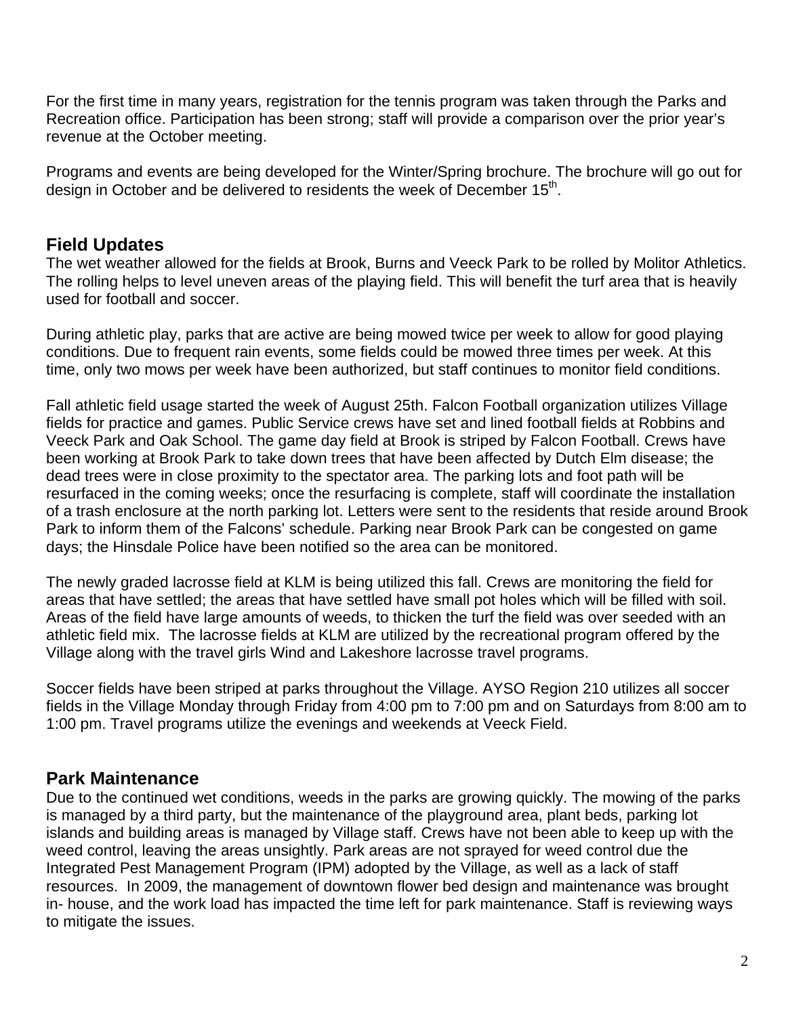For the first time in many years, registration for the tennis program was taken through the Parks and Recreation office. Participation has been strong; staff will provide a comparison over the prior year's revenue at the October meeting.

Programs and events are being developed for the Winter/Spring brochure. The brochure will go out for design in October and be delivered to residents the week of December 15<sup>th</sup>.

## **Field Updates**

The wet weather allowed for the fields at Brook, Burns and Veeck Park to be rolled by Molitor Athletics. The rolling helps to level uneven areas of the playing field. This will benefit the turf area that is heavily used for football and soccer.

During athletic play, parks that are active are being mowed twice per week to allow for good playing conditions. Due to frequent rain events, some fields could be mowed three times per week. At this time, only two mows per week have been authorized, but staff continues to monitor field conditions.

Fall athletic field usage started the week of August 25th. Falcon Football organization utilizes Village fields for practice and games. Public Service crews have set and lined football fields at Robbins and Veeck Park and Oak School. The game day field at Brook is striped by Falcon Football. Crews have been working at Brook Park to take down trees that have been affected by Dutch Elm disease; the dead trees were in close proximity to the spectator area. The parking lots and foot path will be resurfaced in the coming weeks; once the resurfacing is complete, staff will coordinate the installation of a trash enclosure at the north parking lot. Letters were sent to the residents that reside around Brook Park to inform them of the Falcons' schedule. Parking near Brook Park can be congested on game days; the Hinsdale Police have been notified so the area can be monitored.

The newly graded lacrosse field at KLM is being utilized this fall. Crews are monitoring the field for areas that have settled; the areas that have settled have small pot holes which will be filled with soil. Areas of the field have large amounts of weeds, to thicken the turf the field was over seeded with an athletic field mix. The lacrosse fields at KLM are utilized by the recreational program offered by the Village along with the travel girls Wind and Lakeshore lacrosse travel programs.

Soccer fields have been striped at parks throughout the Village. AYSO Region 210 utilizes all soccer fields in the Village Monday through Friday from 4:00 pm to 7:00 pm and on Saturdays from 8:00 am to 1:00 pm. Travel programs utilize the evenings and weekends at Veeck Field.

## **Park Maintenance**

Due to the continued wet conditions, weeds in the parks are growing quickly. The mowing of the parks is managed by a third party, but the maintenance of the playground area, plant beds, parking lot islands and building areas is managed by Village staff. Crews have not been able to keep up with the weed control, leaving the areas unsightly. Park areas are not sprayed for weed control due the Integrated Pest Management Program (IPM) adopted by the Village, as well as a lack of staff resources. In 2009, the management of downtown flower bed design and maintenance was brought in- house, and the work load has impacted the time left for park maintenance. Staff is reviewing ways to mitigate the issues.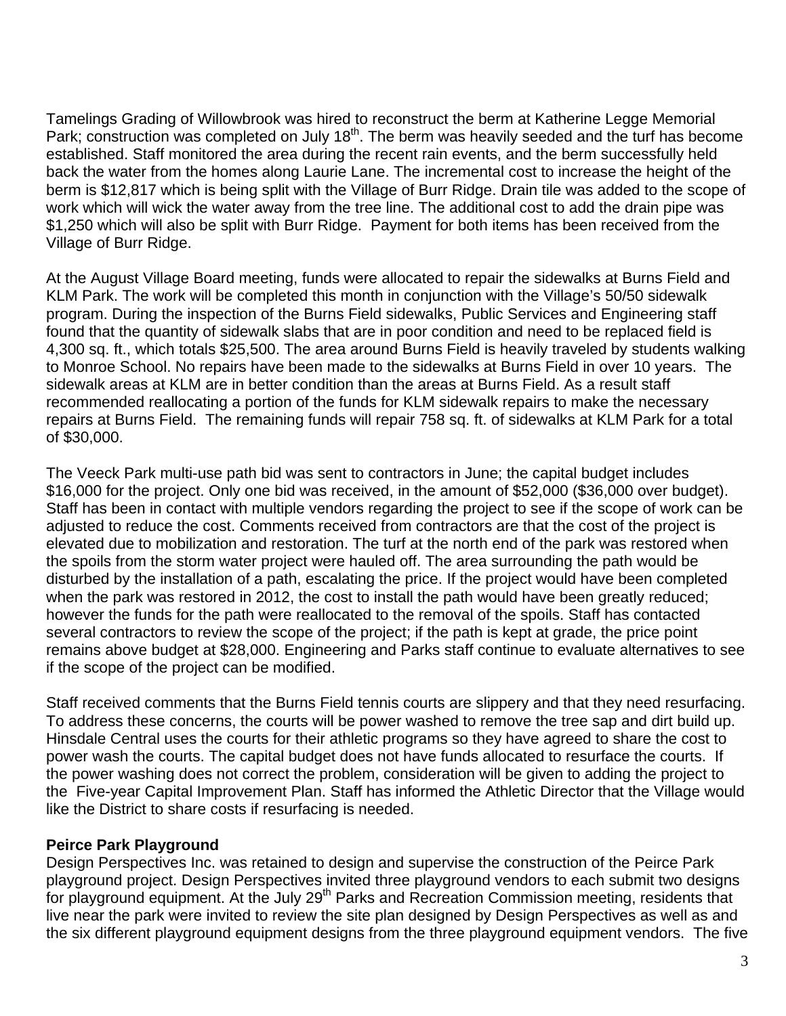Tamelings Grading of Willowbrook was hired to reconstruct the berm at Katherine Legge Memorial Park; construction was completed on July 18<sup>th</sup>. The berm was heavily seeded and the turf has become established. Staff monitored the area during the recent rain events, and the berm successfully held back the water from the homes along Laurie Lane. The incremental cost to increase the height of the berm is \$12,817 which is being split with the Village of Burr Ridge. Drain tile was added to the scope of work which will wick the water away from the tree line. The additional cost to add the drain pipe was \$1,250 which will also be split with Burr Ridge. Payment for both items has been received from the Village of Burr Ridge.

At the August Village Board meeting, funds were allocated to repair the sidewalks at Burns Field and KLM Park. The work will be completed this month in conjunction with the Village's 50/50 sidewalk program. During the inspection of the Burns Field sidewalks, Public Services and Engineering staff found that the quantity of sidewalk slabs that are in poor condition and need to be replaced field is 4,300 sq. ft., which totals \$25,500. The area around Burns Field is heavily traveled by students walking to Monroe School. No repairs have been made to the sidewalks at Burns Field in over 10 years. The sidewalk areas at KLM are in better condition than the areas at Burns Field. As a result staff recommended reallocating a portion of the funds for KLM sidewalk repairs to make the necessary repairs at Burns Field. The remaining funds will repair 758 sq. ft. of sidewalks at KLM Park for a total of \$30,000.

The Veeck Park multi-use path bid was sent to contractors in June; the capital budget includes \$16,000 for the project. Only one bid was received, in the amount of \$52,000 (\$36,000 over budget). Staff has been in contact with multiple vendors regarding the project to see if the scope of work can be adjusted to reduce the cost. Comments received from contractors are that the cost of the project is elevated due to mobilization and restoration. The turf at the north end of the park was restored when the spoils from the storm water project were hauled off. The area surrounding the path would be disturbed by the installation of a path, escalating the price. If the project would have been completed when the park was restored in 2012, the cost to install the path would have been greatly reduced; however the funds for the path were reallocated to the removal of the spoils. Staff has contacted several contractors to review the scope of the project; if the path is kept at grade, the price point remains above budget at \$28,000. Engineering and Parks staff continue to evaluate alternatives to see if the scope of the project can be modified.

Staff received comments that the Burns Field tennis courts are slippery and that they need resurfacing. To address these concerns, the courts will be power washed to remove the tree sap and dirt build up. Hinsdale Central uses the courts for their athletic programs so they have agreed to share the cost to power wash the courts. The capital budget does not have funds allocated to resurface the courts. If the power washing does not correct the problem, consideration will be given to adding the project to the Five-year Capital Improvement Plan. Staff has informed the Athletic Director that the Village would like the District to share costs if resurfacing is needed.

#### **Peirce Park Playground**

Design Perspectives Inc. was retained to design and supervise the construction of the Peirce Park playground project. Design Perspectives invited three playground vendors to each submit two designs for playground equipment. At the July 29<sup>th</sup> Parks and Recreation Commission meeting, residents that live near the park were invited to review the site plan designed by Design Perspectives as well as and the six different playground equipment designs from the three playground equipment vendors. The five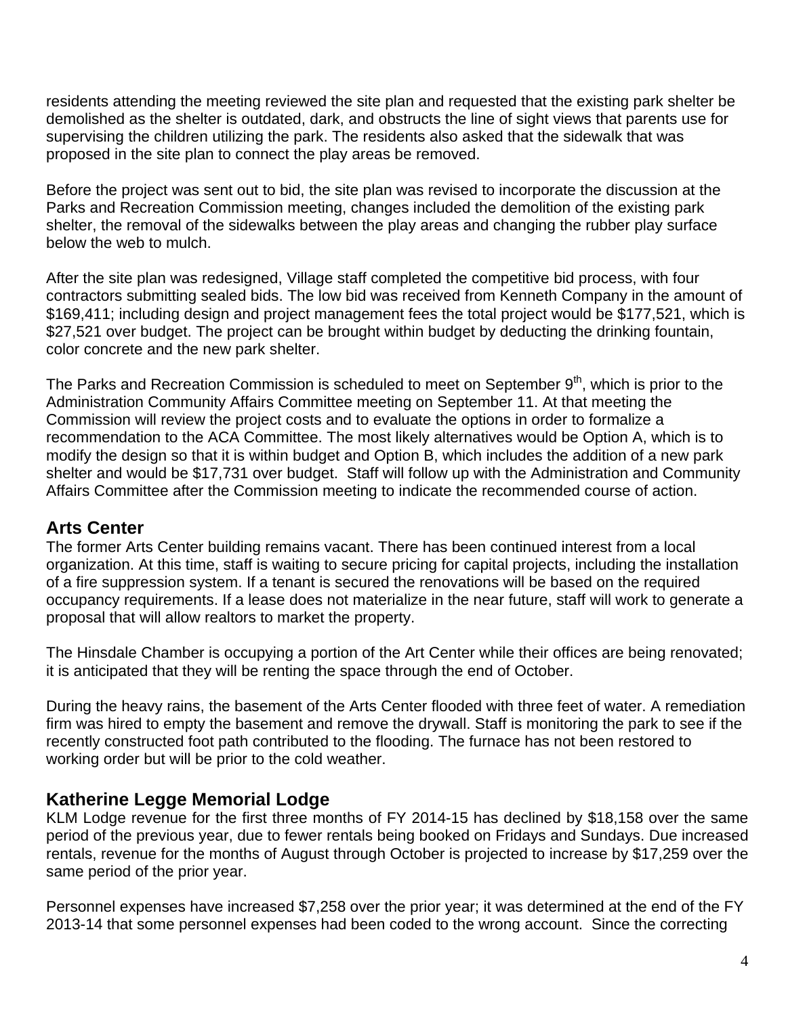residents attending the meeting reviewed the site plan and requested that the existing park shelter be demolished as the shelter is outdated, dark, and obstructs the line of sight views that parents use for supervising the children utilizing the park. The residents also asked that the sidewalk that was proposed in the site plan to connect the play areas be removed.

Before the project was sent out to bid, the site plan was revised to incorporate the discussion at the Parks and Recreation Commission meeting, changes included the demolition of the existing park shelter, the removal of the sidewalks between the play areas and changing the rubber play surface below the web to mulch.

After the site plan was redesigned, Village staff completed the competitive bid process, with four contractors submitting sealed bids. The low bid was received from Kenneth Company in the amount of \$169,411; including design and project management fees the total project would be \$177,521, which is \$27,521 over budget. The project can be brought within budget by deducting the drinking fountain, color concrete and the new park shelter.

The Parks and Recreation Commission is scheduled to meet on September  $9<sup>th</sup>$ , which is prior to the Administration Community Affairs Committee meeting on September 11. At that meeting the Commission will review the project costs and to evaluate the options in order to formalize a recommendation to the ACA Committee. The most likely alternatives would be Option A, which is to modify the design so that it is within budget and Option B, which includes the addition of a new park shelter and would be \$17,731 over budget. Staff will follow up with the Administration and Community Affairs Committee after the Commission meeting to indicate the recommended course of action.

## **Arts Center**

The former Arts Center building remains vacant. There has been continued interest from a local organization. At this time, staff is waiting to secure pricing for capital projects, including the installation of a fire suppression system. If a tenant is secured the renovations will be based on the required occupancy requirements. If a lease does not materialize in the near future, staff will work to generate a proposal that will allow realtors to market the property.

The Hinsdale Chamber is occupying a portion of the Art Center while their offices are being renovated; it is anticipated that they will be renting the space through the end of October.

During the heavy rains, the basement of the Arts Center flooded with three feet of water. A remediation firm was hired to empty the basement and remove the drywall. Staff is monitoring the park to see if the recently constructed foot path contributed to the flooding. The furnace has not been restored to working order but will be prior to the cold weather.

## **Katherine Legge Memorial Lodge**

KLM Lodge revenue for the first three months of FY 2014-15 has declined by \$18,158 over the same period of the previous year, due to fewer rentals being booked on Fridays and Sundays. Due increased rentals, revenue for the months of August through October is projected to increase by \$17,259 over the same period of the prior year.

Personnel expenses have increased \$7,258 over the prior year; it was determined at the end of the FY 2013-14 that some personnel expenses had been coded to the wrong account. Since the correcting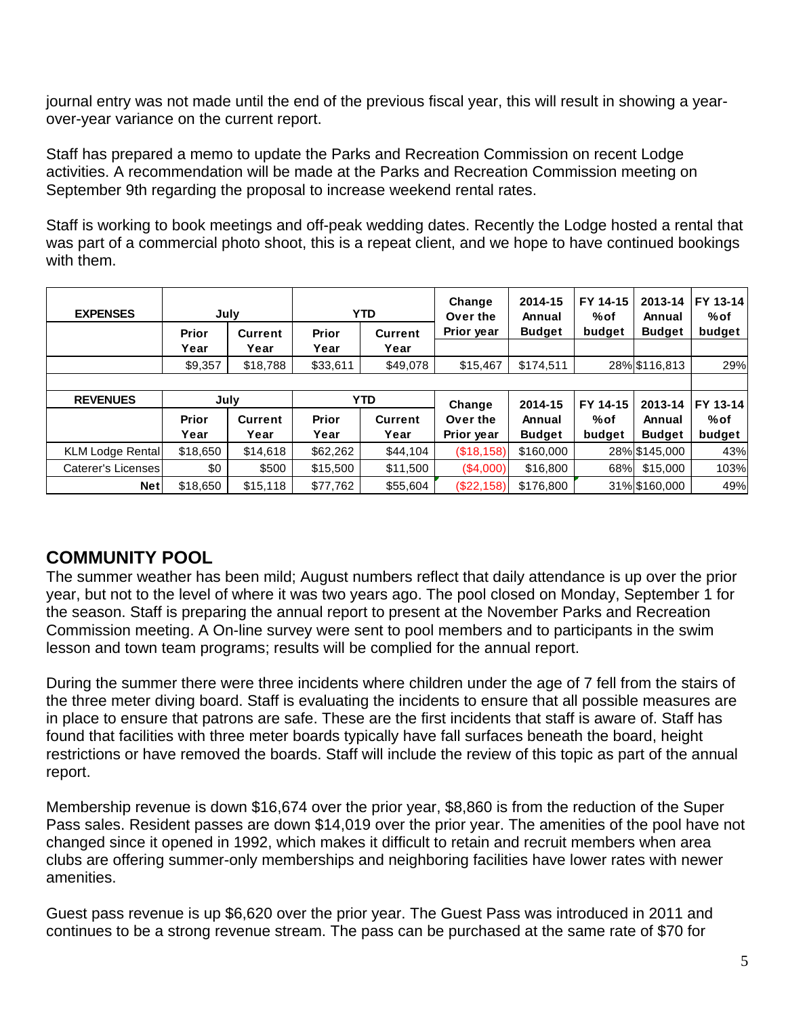journal entry was not made until the end of the previous fiscal year, this will result in showing a yearover-year variance on the current report.

Staff has prepared a memo to update the Parks and Recreation Commission on recent Lodge activities. A recommendation will be made at the Parks and Recreation Commission meeting on September 9th regarding the proposal to increase weekend rental rates.

Staff is working to book meetings and off-peak wedding dates. Recently the Lodge hosted a rental that was part of a commercial photo shoot, this is a repeat client, and we hope to have continued bookings with them.

| <b>EXPENSES</b>         | July               |                | YTD.     |                | Change<br>Over the | 2014-15<br>Annual | FY 14-15<br>%of | 2013-14<br>Annual | FY 13-14<br>%of |  |
|-------------------------|--------------------|----------------|----------|----------------|--------------------|-------------------|-----------------|-------------------|-----------------|--|
|                         | <b>Prior</b>       | <b>Current</b> | Prior    | <b>Current</b> | Prior year         | <b>Budget</b>     | budget          | <b>Budget</b>     | budget          |  |
|                         | Year               | Year           | Year     | Year           |                    |                   |                 |                   |                 |  |
|                         | \$9,357            | \$18,788       | \$33,611 | \$49,078       | \$15,467           | \$174,511         |                 | 28% \$116,813     | 29%             |  |
|                         |                    |                |          |                |                    |                   |                 |                   |                 |  |
| <b>REVENUES</b>         | <b>YTD</b><br>July |                |          |                | Change             | 2014-15           | FY 14-15        | 2013-14           | FY 13-14        |  |
|                         | Prior              | <b>Current</b> | Prior    | <b>Current</b> | Over the           | Annual            | $%$ of          | Annual            | %of             |  |
|                         | Year               | Year           | Year     | Year           | Prior year         | <b>Budget</b>     | budget          | <b>Budget</b>     | budget          |  |
| <b>KLM Lodge Rental</b> | \$18,650           | \$14,618       | \$62,262 | \$44,104       | (\$18,158)         | \$160,000         |                 | 28% \$145,000     | 43%             |  |
| Caterer's Licenses      | \$0                | \$500          | \$15,500 | \$11,500       | (\$4,000)          | \$16,800          | 68%             | \$15,000          | 103%            |  |
|                         |                    |                |          |                |                    |                   |                 |                   |                 |  |

# **COMMUNITY POOL**

The summer weather has been mild; August numbers reflect that daily attendance is up over the prior year, but not to the level of where it was two years ago. The pool closed on Monday, September 1 for the season. Staff is preparing the annual report to present at the November Parks and Recreation Commission meeting. A On-line survey were sent to pool members and to participants in the swim lesson and town team programs; results will be complied for the annual report.

During the summer there were three incidents where children under the age of 7 fell from the stairs of the three meter diving board. Staff is evaluating the incidents to ensure that all possible measures are in place to ensure that patrons are safe. These are the first incidents that staff is aware of. Staff has found that facilities with three meter boards typically have fall surfaces beneath the board, height restrictions or have removed the boards. Staff will include the review of this topic as part of the annual report.

Membership revenue is down \$16,674 over the prior year, \$8,860 is from the reduction of the Super Pass sales. Resident passes are down \$14,019 over the prior year. The amenities of the pool have not changed since it opened in 1992, which makes it difficult to retain and recruit members when area clubs are offering summer-only memberships and neighboring facilities have lower rates with newer amenities.

Guest pass revenue is up \$6,620 over the prior year. The Guest Pass was introduced in 2011 and continues to be a strong revenue stream. The pass can be purchased at the same rate of \$70 for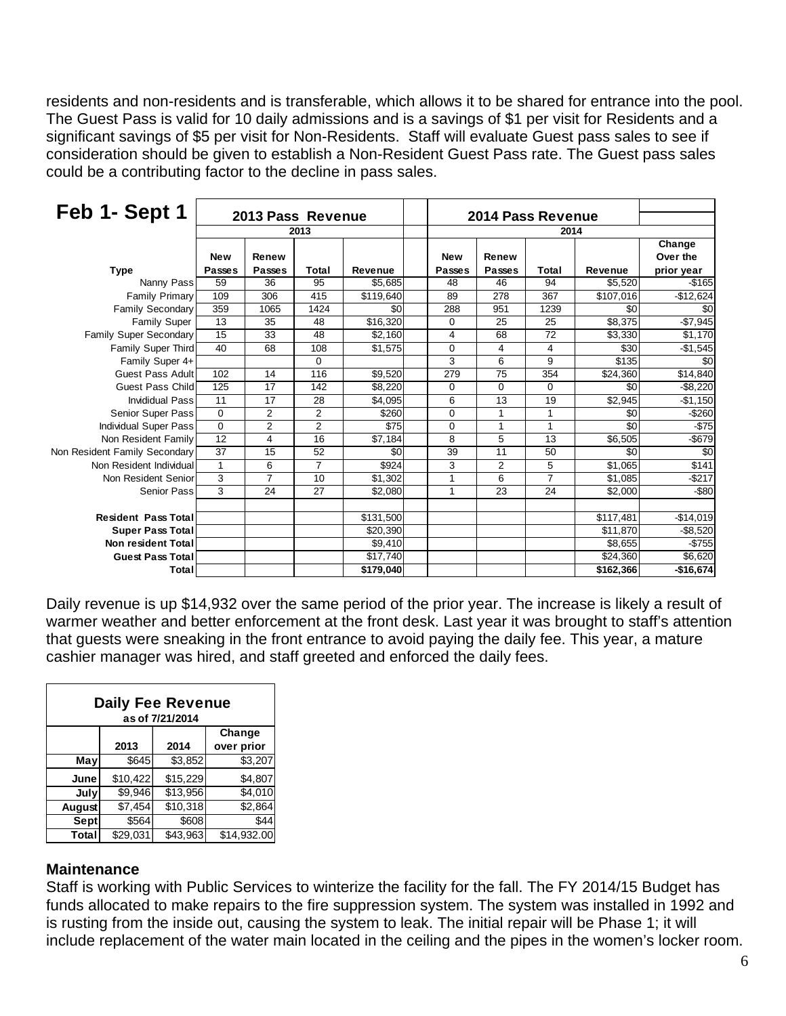residents and non-residents and is transferable, which allows it to be shared for entrance into the pool. The Guest Pass is valid for 10 daily admissions and is a savings of \$1 per visit for Residents and a significant savings of \$5 per visit for Non-Residents. Staff will evaluate Guest pass sales to see if consideration should be given to establish a Non-Resident Guest Pass rate. The Guest pass sales could be a contributing factor to the decline in pass sales.

| Feb 1- Sept 1                 | 2013 Pass Revenue<br>2013 |                |                |                |                   |                |                |           |            |
|-------------------------------|---------------------------|----------------|----------------|----------------|-------------------|----------------|----------------|-----------|------------|
|                               |                           |                |                |                | 2014 Pass Revenue |                |                |           |            |
|                               |                           |                |                |                |                   |                |                |           |            |
|                               |                           |                |                |                |                   |                |                |           | Change     |
|                               | <b>New</b>                | Renew          |                |                | <b>New</b>        | Renew          |                |           | Over the   |
| <b>Type</b>                   | <b>Passes</b>             | <b>Passes</b>  | Total          | <b>Revenue</b> | <b>Passes</b>     | <b>Passes</b>  | Total          | Revenue   | prior year |
| Nanny Pass                    | 59                        | 36             | 95             | \$5,685        | 48                | 46             | 94             | \$5,520   | $-$165$    |
| <b>Family Primary</b>         | 109                       | 306            | 415            | \$119,640      | 89                | 278            | 367            | \$107,016 | $-$12,624$ |
| <b>Family Secondary</b>       | 359                       | 1065           | 1424           | \$0            | 288               | 951            | 1239           | \$0       | \$0        |
| <b>Family Super</b>           | 13                        | 35             | 48             | \$16,320       | 0                 | 25             | 25             | \$8,375   | $-$7,945$  |
| Family Super Secondary        | 15                        | 33             | 48             | \$2,160        | 4                 | 68             | 72             | \$3,330   | \$1,170    |
| Family Super Third            | 40                        | 68             | 108            | \$1,575        | 0                 | 4              | 4              | \$30      | $-$1,545$  |
| Family Super 4+               |                           |                | 0              |                | 3                 | 6              | 9              | \$135     | \$0        |
| <b>Guest Pass Adult</b>       | 102                       | 14             | 116            | \$9,520        | 279               | 75             | 354            | \$24,360  | \$14,840   |
| <b>Guest Pass Child</b>       | 125                       | 17             | 142            | \$8,220        | 0                 | $\mathbf 0$    | 0              | \$0       | $-$8,220$  |
| <b>Invididual Pass</b>        | 11                        | 17             | 28             | \$4,095        | 6                 | 13             | 19             | \$2,945   | $-$1,150$  |
| Senior Super Pass             | $\mathbf 0$               | 2              | 2              | \$260          | 0                 | 1              | 1              | \$0       | $-$260$    |
| <b>Individual Super Pass</b>  | $\Omega$                  | $\overline{2}$ | $\overline{2}$ | \$75           | 0                 | 1              | 1              | \$0       | $-$75$     |
| Non Resident Family           | 12                        | 4              | 16             | \$7,184        | 8                 | 5              | 13             | \$6,505   | $-$679$    |
| Non Resident Family Secondary | 37                        | 15             | 52             | \$0            | 39                | 11             | 50             | \$0       | \$0        |
| Non Resident Individual       | $\mathbf{1}$              | 6              | $\overline{7}$ | \$924          | 3                 | $\overline{2}$ | 5              | \$1,065   | \$141      |
| Non Resident Senior           | 3                         | $\overline{7}$ | 10             | \$1,302        | 1                 | 6              | $\overline{7}$ | \$1,085   | $-$217$    |
| <b>Senior Pass</b>            | 3                         | 24             | 27             | \$2,080        | $\mathbf{1}$      | 23             | 24             | \$2,000   | $-$ \$80   |
|                               |                           |                |                |                |                   |                |                |           |            |
| <b>Resident Pass Total</b>    |                           |                |                | \$131,500      |                   |                |                | \$117,481 | $-$14,019$ |
| <b>Super Pass Total</b>       |                           |                |                | \$20,390       |                   |                |                | \$11,870  | $-$8,520$  |
| <b>Non resident Total</b>     |                           |                |                | \$9,410        |                   |                |                | \$8,655   | $-$755$    |
| <b>Guest Pass Total</b>       |                           |                |                | \$17,740       |                   |                |                | \$24,360  | \$6,620    |
| Total                         |                           |                |                | \$179,040      |                   |                |                | \$162,366 | $-$16,674$ |

Daily revenue is up \$14,932 over the same period of the prior year. The increase is likely a result of warmer weather and better enforcement at the front desk. Last year it was brought to staff's attention that guests were sneaking in the front entrance to avoid paying the daily fee. This year, a mature cashier manager was hired, and staff greeted and enforced the daily fees.

| <b>Daily Fee Revenue</b><br>as of 7/21/2014 |          |          |             |  |  |  |  |  |  |
|---------------------------------------------|----------|----------|-------------|--|--|--|--|--|--|
|                                             |          |          | Change      |  |  |  |  |  |  |
|                                             | 2013     | 2014     | over prior  |  |  |  |  |  |  |
| May                                         | \$645    | \$3,852  | \$3,207     |  |  |  |  |  |  |
| June                                        | \$10,422 | \$15,229 | \$4.807     |  |  |  |  |  |  |
| July                                        | \$9.946  | \$13,956 | \$4,010     |  |  |  |  |  |  |
| <b>August</b>                               | \$7,454  | \$10,318 | \$2,864     |  |  |  |  |  |  |
| Sept                                        | \$564    | \$608    | \$44        |  |  |  |  |  |  |
| Total                                       | \$29,031 | \$43.963 | \$14,932.00 |  |  |  |  |  |  |

#### **Maintenance**

Staff is working with Public Services to winterize the facility for the fall. The FY 2014/15 Budget has funds allocated to make repairs to the fire suppression system. The system was installed in 1992 and is rusting from the inside out, causing the system to leak. The initial repair will be Phase 1; it will include replacement of the water main located in the ceiling and the pipes in the women's locker room.